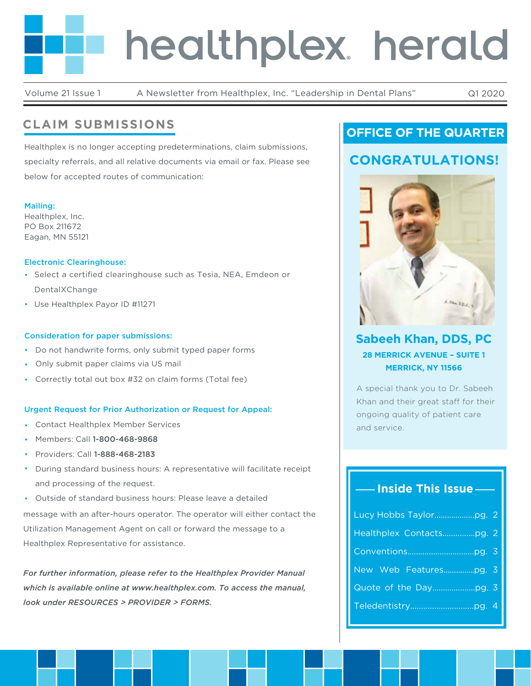# healthplex. herald

Volume 21 Issue 1 A Newsletter from Healthplex, Inc. "Leadership in Dental Plans" Q1 2020

# **CLAIM SUBMISSIONS**

Healthplex is no longer accepting predeterminations, claim submissions, specialty referrals, and all relative documents via email or fax. Please see below for accepted routes of communication:

#### Mailing:

Healthplex, Inc. PO Box 211672 Eagan, MN 55121

### Electronic Clearinghouse:

- Select a certified clearinghouse such as Tesia, NEA, Emdeon or DentalXChange
- Use Healthplex Payor ID #11271

### Consideration for paper submissions:

- Do not handwrite forms, only submit typed paper forms
- Only submit paper claims via US mail
- Correctly total out box #32 on claim forms (Total fee)

## Urgent Request for Prior Authorization or Request for Appeal:

- Contact Healthplex Member Services
- Members: Call 1-800-468-9868
- Providers: Call 1-888-468-2183
- During standard business hours: A representative will facilitate receipt and processing of the request.
- message with an after-hours operator. The operator will either contact the Utilization Management Agent on call or forward the message to a Healthplex Representative for assistance. • Outside of standard business hours: Please leave a detailed

*For further information, please refer to the Healthplex Provider Manual which is available online at www.healthplex.com. To access the manual, look under RESOURCES > PROVIDER > FORMS.*

# **OFFICE OF THE QUARTER**

# **CONGRATULATIONS!**



# **Sabeeh Khan, DDS, PC 28 MERRICK AVENUE – SUITE 1 MERRICK, NY 11566**

A special thank you to Dr. Sabeeh Khan and their great staff for their ongoing quality of patient care and service.

## **Inside This Issue**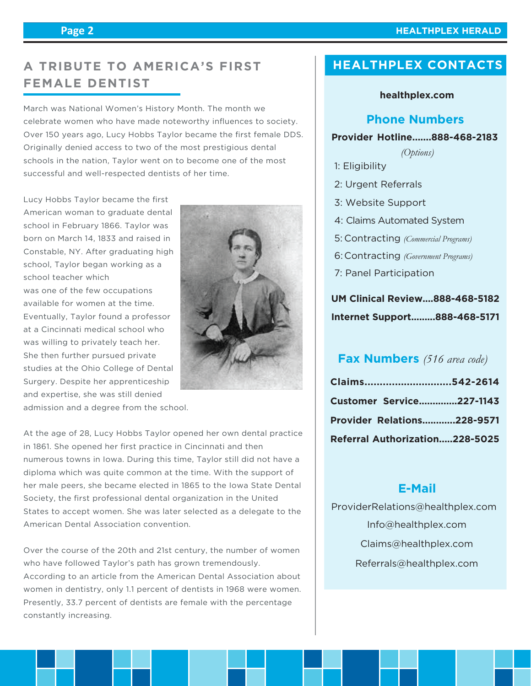#### **Page 2**

#### **HEALTHPLEX HERALD**

# **A TRIBUTE TO AMERICA'S FIRST FEMALE DENTIST**

March was National Women's History Month. The month we celebrate women who have made noteworthy influences to society. Over 150 years ago, Lucy Hobbs Taylor became the first female DDS. Originally denied access to two of the most prestigious dental schools in the nation, Taylor went on to become one of the most successful and well-respected dentists of her time.

Lucy Hobbs Taylor became the first American woman to graduate dental school in February 1866. Taylor was born on March 14, 1833 and raised in Constable, NY. After graduating high school, Taylor began working as a school teacher which was one of the few occupations available for women at the time. Eventually, Taylor found a professor at a Cincinnati medical school who was willing to privately teach her. She then further pursued private studies at the Ohio College of Dental Surgery. Despite her apprenticeship and expertise, she was still denied



admission and a degree from the school.

At the age of 28, Lucy Hobbs Taylor opened her own dental practice in 1861. She opened her first practice in Cincinnati and then numerous towns in Iowa. During this time, Taylor still did not have a diploma which was quite common at the time. With the support of her male peers, she became elected in 1865 to the Iowa State Dental Society, the first professional dental organization in the United States to accept women. She was later selected as a delegate to the American Dental Association convention.

Over the course of the 20th and 21st century, the number of women who have followed Taylor's path has grown tremendously. According to an article from the American Dental Association about women in dentistry, only 1.1 percent of dentists in 1968 were women. Presently, 33.7 percent of dentists are female with the percentage constantly increasing.

# **HEALTHPLEX CONTACTS**

## **healthplex.com**

## **Phone Numbers**

### **Provider Hotline.......888-468-2183**

*(Options)*

- 1: Eligibility
- 2: Urgent Referrals
- 3: Website Support
- 4: Claims Automated System
- Contracting *(Commercial Programs)* 5:
- Contracting *(Government Programs)* 6:
- 7: Panel Participation

# **UM Clinical Review....888-468-5182 Internet Support.........888-468-5171**

## **Fax Numbers** *(516 area code)*

| Claims542-2614                    |  |
|-----------------------------------|--|
| <b>Customer Service227-1143</b>   |  |
| <b>Provider Relations228-9571</b> |  |
| Referral Authorization228-5025    |  |

## **E-Mail**

 Info@healthplex.com ProviderRelations@healthplex.com Claims@healthplex.com Referrals@healthplex.com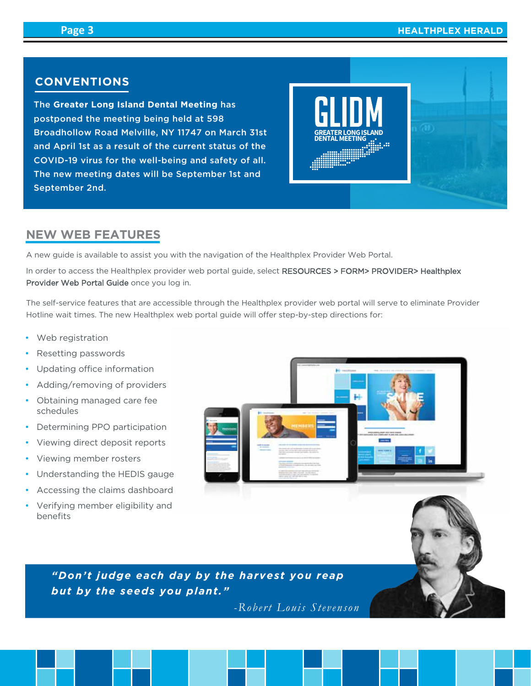m)

## **CONVENTIONS**

The **Greater Long Island Dental Meeting** has postponed the meeting being held at 598 Broadhollow Road Melville, NY 11747 on March 31st and April 1st as a result of the current status of the COVID-19 virus for the well-being and safety of all. The new meeting dates will be September 1st and September 2nd.



## **NEW WEB FEATURES**

A new guide is available to assist you with the navigation of the Healthplex Provider Web Portal.

In order to access the Healthplex provider web portal guide, select RESOURCES > FORM> PROVIDER> Healthplex Provider Web Portal Guide once you log in.

The self-service features that are accessible through the Healthplex provider web portal will serve to eliminate Provider Hotline wait times. The new Healthplex web portal guide will offer step-by-step directions for:

- Web registration
- Resetting passwords
- Updating office information
- Adding/removing of providers
- Obtaining managed care fee schedules
- Determining PPO participation
- Viewing direct deposit reports
- Viewing member rosters
- Understanding the HEDIS gauge
- Accessing the claims dashboard
- Verifying member eligibility and benefits



*"Don't judge each day by the harvest you reap but by the seeds you plant."*

*-Robert Louis Stevenson*